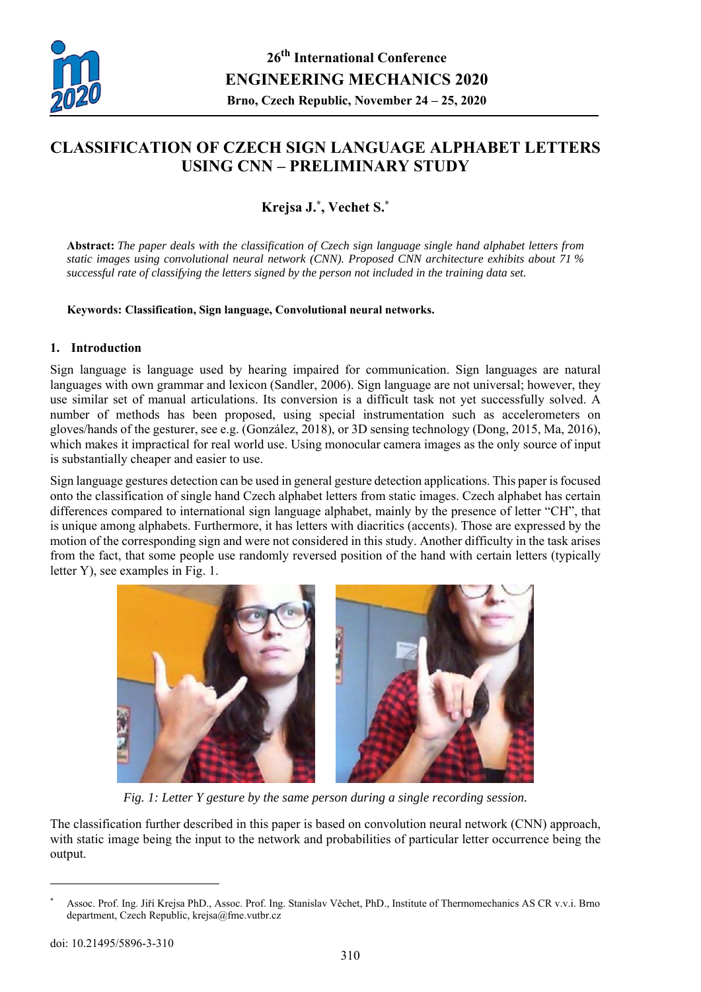

# **CLASSIFICATION OF CZECH SIGN LANGUAGE ALPHABET LETTERS USING CNN – PRELIMINARY STUDY**

## **Krejsa J.\*, Vechet S.\***

**Abstract:** *The paper deals with the classification of Czech sign language single hand alphabet letters from static images using convolutional neural network (CNN). Proposed CNN architecture exhibits about 71 % successful rate of classifying the letters signed by the person not included in the training data set.* 

**Keywords: Classification, Sign language, Convolutional neural networks.** 

#### **1. Introduction**

Sign language is language used by hearing impaired for communication. Sign languages are natural languages with own grammar and lexicon (Sandler, 2006). Sign language are not universal; however, they use similar set of manual articulations. Its conversion is a difficult task not yet successfully solved. A number of methods has been proposed, using special instrumentation such as accelerometers on gloves/hands of the gesturer, see e.g. (González, 2018), or 3D sensing technology (Dong, 2015, Ma, 2016), which makes it impractical for real world use. Using monocular camera images as the only source of input is substantially cheaper and easier to use.

Sign language gestures detection can be used in general gesture detection applications. This paper is focused onto the classification of single hand Czech alphabet letters from static images. Czech alphabet has certain differences compared to international sign language alphabet, mainly by the presence of letter "CH", that is unique among alphabets. Furthermore, it has letters with diacritics (accents). Those are expressed by the motion of the corresponding sign and were not considered in this study. Another difficulty in the task arises from the fact, that some people use randomly reversed position of the hand with certain letters (typically letter Y), see examples in Fig. 1.



*Fig. 1: Letter Y gesture by the same person during a single recording session.* 

The classification further described in this paper is based on convolution neural network (CNN) approach, with static image being the input to the network and probabilities of particular letter occurrence being the output.

 $\overline{a}$ 

<sup>\*</sup> Assoc. Prof. Ing. Jiří Krejsa PhD., Assoc. Prof. Ing. Stanislav Věchet, PhD., Institute of Thermomechanics AS CR v.v.i. Brno department, Czech Republic, krejsa@fme.vutbr.cz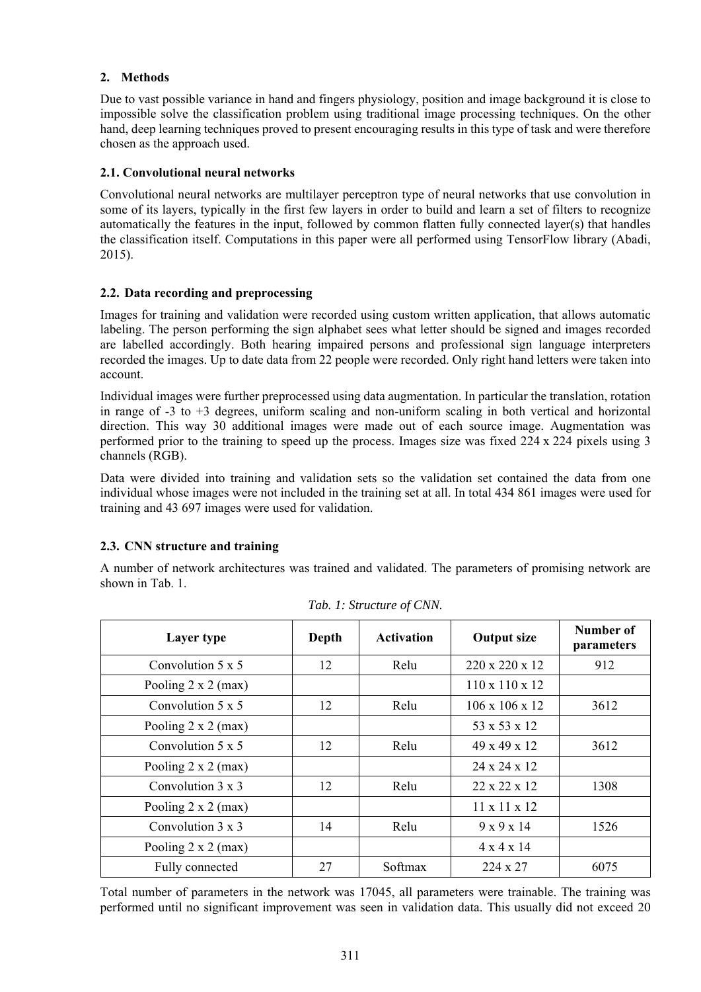## **2. Methods**

Due to vast possible variance in hand and fingers physiology, position and image background it is close to impossible solve the classification problem using traditional image processing techniques. On the other hand, deep learning techniques proved to present encouraging results in this type of task and were therefore chosen as the approach used.

## **2.1. Convolutional neural networks**

Convolutional neural networks are multilayer perceptron type of neural networks that use convolution in some of its layers, typically in the first few layers in order to build and learn a set of filters to recognize automatically the features in the input, followed by common flatten fully connected layer(s) that handles the classification itself. Computations in this paper were all performed using TensorFlow library (Abadi, 2015).

## **2.2. Data recording and preprocessing**

Images for training and validation were recorded using custom written application, that allows automatic labeling. The person performing the sign alphabet sees what letter should be signed and images recorded are labelled accordingly. Both hearing impaired persons and professional sign language interpreters recorded the images. Up to date data from 22 people were recorded. Only right hand letters were taken into account.

Individual images were further preprocessed using data augmentation. In particular the translation, rotation in range of -3 to +3 degrees, uniform scaling and non-uniform scaling in both vertical and horizontal direction. This way 30 additional images were made out of each source image. Augmentation was performed prior to the training to speed up the process. Images size was fixed 224 x 224 pixels using 3 channels (RGB).

Data were divided into training and validation sets so the validation set contained the data from one individual whose images were not included in the training set at all. In total 434 861 images were used for training and 43 697 images were used for validation.

#### **2.3. CNN structure and training**

A number of network architectures was trained and validated. The parameters of promising network are shown in Tab. 1.

| Layer type                 | Depth | <b>Activation</b> | <b>Output size</b>         | Number of<br><i>parameters</i> |
|----------------------------|-------|-------------------|----------------------------|--------------------------------|
| Convolution $5 \times 5$   | 12    | Relu              | 220 x 220 x 12             | 912                            |
| Pooling $2 \times 2$ (max) |       |                   | $110 \times 110 \times 12$ |                                |
| Convolution $5 \times 5$   | 12    | Relu              | $106 \times 106 \times 12$ | 3612                           |
| Pooling $2 \times 2$ (max) |       |                   | 53 x 53 x 12               |                                |
| Convolution $5 \times 5$   | 12    | Relu              | 49 x 49 x 12               | 3612                           |
| Pooling $2 \times 2$ (max) |       |                   | 24 x 24 x 12               |                                |
| Convolution $3 \times 3$   | 12    | Relu              | $22 \times 22 \times 12$   | 1308                           |
| Pooling $2 \times 2$ (max) |       |                   | $11 \times 11 \times 12$   |                                |
| Convolution $3 \times 3$   | 14    | Relu              | $9 \times 9 \times 14$     | 1526                           |
| Pooling $2 \times 2$ (max) |       |                   | $4 \times 4 \times 14$     |                                |
| Fully connected            | 27    | Softmax           | $224 \times 27$            | 6075                           |

*Tab. 1: Structure of CNN.* 

Total number of parameters in the network was 17045, all parameters were trainable. The training was performed until no significant improvement was seen in validation data. This usually did not exceed 20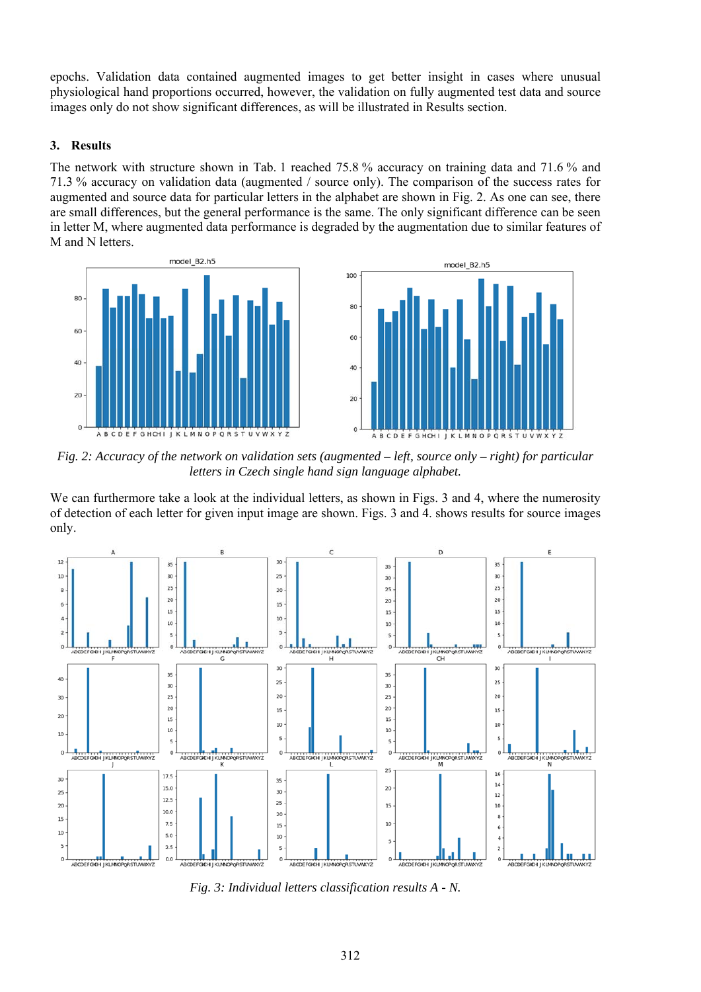epochs. Validation data contained augmented images to get better insight in cases where unusual physiological hand proportions occurred, however, the validation on fully augmented test data and source images only do not show significant differences, as will be illustrated in Results section.

#### **3. Results**

The network with structure shown in Tab. 1 reached 75.8 % accuracy on training data and 71.6 % and 71.3 % accuracy on validation data (augmented / source only). The comparison of the success rates for augmented and source data for particular letters in the alphabet are shown in Fig. 2. As one can see, there are small differences, but the general performance is the same. The only significant difference can be seen in letter M, where augmented data performance is degraded by the augmentation due to similar features of M and N letters.



*Fig. 2: Accuracy of the network on validation sets (augmented – left, source only – right) for particular letters in Czech single hand sign language alphabet.* 

We can furthermore take a look at the individual letters, as shown in Figs. 3 and 4, where the numerosity of detection of each letter for given input image are shown. Figs. 3 and 4. shows results for source images only.



*Fig. 3: Individual letters classification results A - N.*